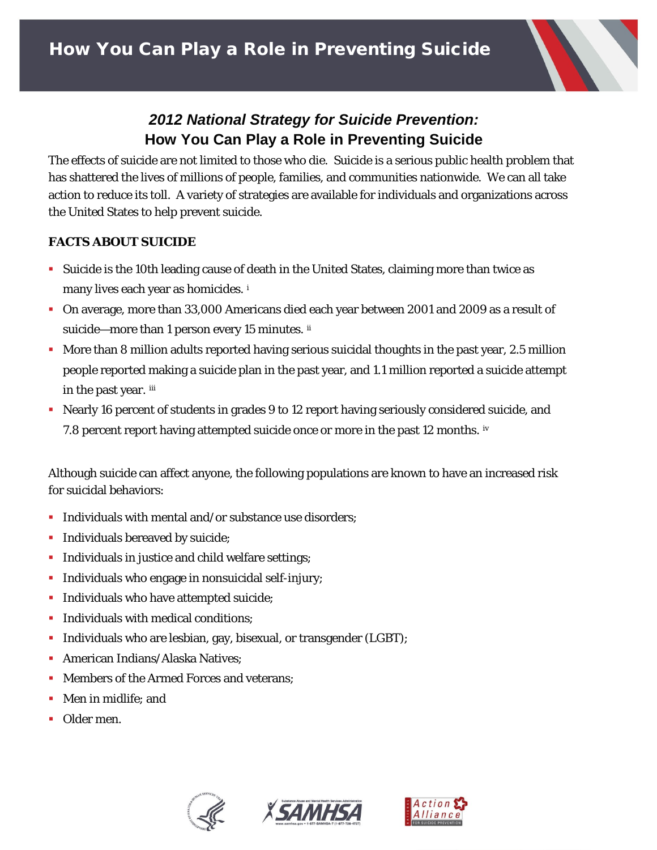

# *2012 National Strategy for Suicide Prevention:*  **How You Can Play a Role in Preventing Suicide**

The effects of suicide are not limited to those who die. Suicide is a serious public health problem that has shattered the lives of millions of people, families, and communities nationwide. We can all take action to reduce its toll. A variety of strategies are available for individuals and organizations across the United States to help prevent suicide.

## **FACTS ABOUT SUICIDE**

- Suicide is the 10th leading cause of death in the United States, claiming more than twice as many lives each year as homicides. [i](#page-2-0)
- On average, more than 33,000 Americans died each year between 2001 and 2009 as a result of suicide—more than 1 person every 15 minutes. [ii](#page-2-1)
- **More than 8 million adults reported having serious suicidal thoughts in the past year, 2.5 million** people reported making a suicide plan in the past year, and 1.1 million reported a suicide attempt in the past year. [iii](#page-2-2)
- Nearly 16 percent of students in grades 9 to 12 report having seriously considered suicide, and 7.8 percent report having attempted suicide once or more in the past 12 months. [iv](#page-2-3)

Although suicide can affect anyone, the following populations are known to have an increased risk for suicidal behaviors:

- **Individuals with mental and/or substance use disorders;**
- **Individuals bereaved by suicide;**
- **Individuals in justice and child welfare settings;**
- **Individuals who engage in nonsuicidal self-injury;**
- **Individuals who have attempted suicide;**
- Individuals with medical conditions:
- Individuals who are lesbian, gay, bisexual, or transgender (LGBT);
- **American Indians/Alaska Natives:**
- **Members of the Armed Forces and veterans;**
- Men in midlife: and
- **Older men.**





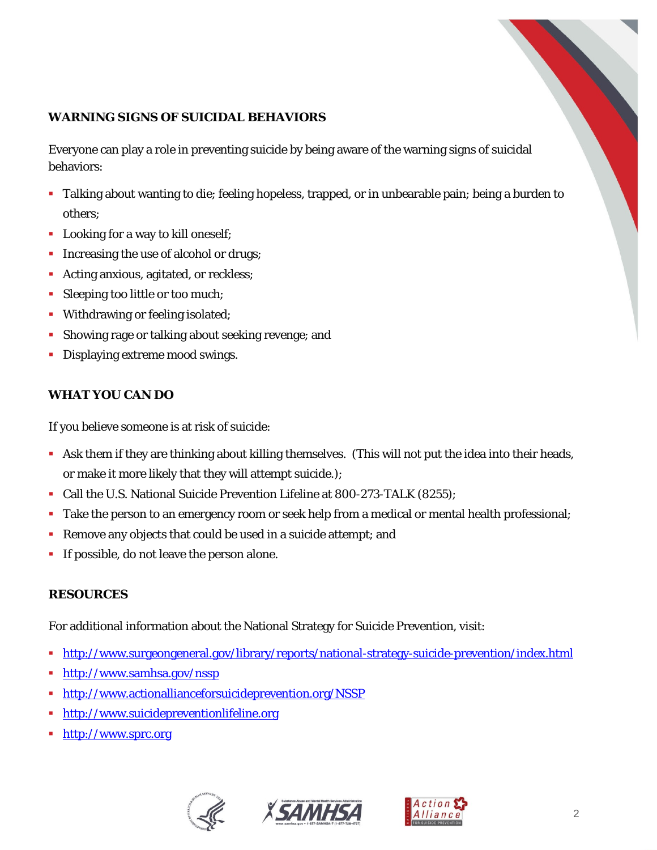# **WARNING SIGNS OF SUICIDAL BEHAVIORS**

Everyone can play a role in preventing suicide by being aware of the warning signs of suicidal behaviors:

- Talking about wanting to die; feeling hopeless, trapped, or in unbearable pain; being a burden to others;
- **Looking for a way to kill oneself;**
- Increasing the use of alcohol or drugs;
- **Acting anxious, agitated, or reckless;**
- Sleeping too little or too much;
- **Withdrawing or feeling isolated;**
- Showing rage or talking about seeking revenge; and
- **Displaying extreme mood swings.**

## **WHAT YOU CAN DO**

If you believe someone is at risk of suicide:

- Ask them if they are thinking about killing themselves. (This will *not* put the idea into their heads, or make it more likely that they will attempt suicide.);
- Call the U.S. National Suicide Prevention Lifeline at 800-273-TALK (8255);
- Take the person to an emergency room or seek help from a medical or mental health professional;
- Remove any objects that could be used in a suicide attempt; and
- **If possible, do not leave the person alone.**

#### **RESOURCES**

For additional information about the National Strategy for Suicide Prevention, visit:

- <http://www.surgeongeneral.gov/library/reports/national-strategy-suicide-prevention/index.html>
- <http://www.samhsa.gov/nssp>
- <http://www.actionallianceforsuicideprevention.org/NSSP>
- **[http://www.suicidepreventionlifeline.org](http://www.suicidepreventionlifeline.org/)**
- **[http://www.sprc.org](http://www.sprc.org/)**